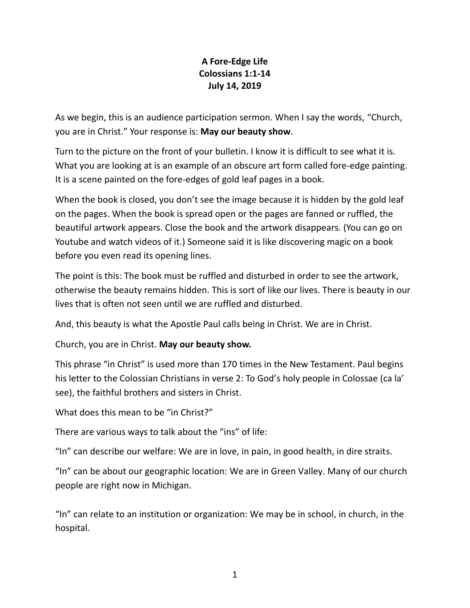## **A Fore-Edge Life Colossians 1:1-14 July 14, 2019**

As we begin, this is an audience participation sermon. When I say the words, "Church, you are in Christ." Your response is: **May our beauty show**.

Turn to the picture on the front of your bulletin. I know it is difficult to see what it is. What you are looking at is an example of an obscure art form called fore-edge painting. It is a scene painted on the fore-edges of gold leaf pages in a book.

When the book is closed, you don't see the image because it is hidden by the gold leaf on the pages. When the book is spread open or the pages are fanned or ruffled, the beautiful artwork appears. Close the book and the artwork disappears. (You can go on Youtube and watch videos of it.) Someone said it is like discovering magic on a book before you even read its opening lines.

The point is this: The book must be ruffled and disturbed in order to see the artwork, otherwise the beauty remains hidden. This is sort of like our lives. There is beauty in our lives that is often not seen until we are ruffled and disturbed.

And, this beauty is what the Apostle Paul calls being in Christ. We are in Christ.

Church, you are in Christ. **May our beauty show.** 

This phrase "in Christ" is used more than 170 times in the New Testament. Paul begins his letter to the Colossian Christians in verse 2: To God's holy people in Colossae (ca la' see), the faithful brothers and sisters in Christ.

What does this mean to be "in Christ?"

There are various ways to talk about the "ins" of life:

"In" can describe our welfare: We are in love, in pain, in good health, in dire straits.

"In" can be about our geographic location: We are in Green Valley. Many of our church people are right now in Michigan.

"In" can relate to an institution or organization: We may be in school, in church, in the hospital.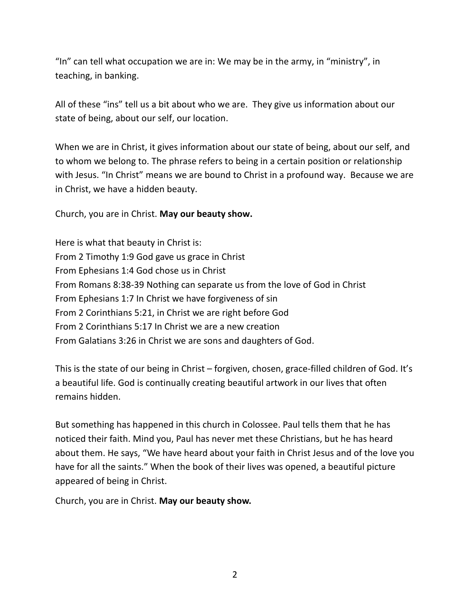"In" can tell what occupation we are in: We may be in the army, in "ministry", in teaching, in banking.

All of these "ins" tell us a bit about who we are. They give us information about our state of being, about our self, our location.

When we are in Christ, it gives information about our state of being, about our self, and to whom we belong to. The phrase refers to being in a certain position or relationship with Jesus. "In Christ" means we are bound to Christ in a profound way. Because we are in Christ, we have a hidden beauty.

Church, you are in Christ. **May our beauty show.**

Here is what that beauty in Christ is: From 2 Timothy 1:9 God gave us grace in Christ From Ephesians 1:4 God chose us in Christ From Romans 8:38-39 Nothing can separate us from the love of God in Christ From Ephesians 1:7 In Christ we have forgiveness of sin From 2 Corinthians 5:21, in Christ we are right before God From 2 Corinthians 5:17 In Christ we are a new creation From Galatians 3:26 in Christ we are sons and daughters of God.

This is the state of our being in Christ – forgiven, chosen, grace-filled children of God. It's a beautiful life. God is continually creating beautiful artwork in our lives that often remains hidden.

But something has happened in this church in Colossee. Paul tells them that he has noticed their faith. Mind you, Paul has never met these Christians, but he has heard about them. He says, "We have heard about your faith in Christ Jesus and of the love you have for all the saints." When the book of their lives was opened, a beautiful picture appeared of being in Christ.

Church, you are in Christ. **May our beauty show.**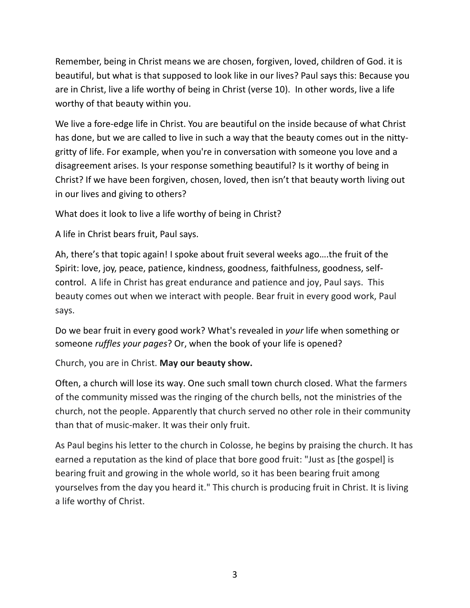Remember, being in Christ means we are chosen, forgiven, loved, children of God. it is beautiful, but what is that supposed to look like in our lives? Paul says this: Because you are in Christ, live a life worthy of being in Christ (verse 10). In other words, live a life worthy of that beauty within you.

We live a fore-edge life in Christ. You are beautiful on the inside because of what Christ has done, but we are called to live in such a way that the beauty comes out in the nittygritty of life. For example, when you're in conversation with someone you love and a disagreement arises. Is your response something beautiful? Is it worthy of being in Christ? If we have been forgiven, chosen, loved, then isn't that beauty worth living out in our lives and giving to others?

What does it look to live a life worthy of being in Christ?

A life in Christ bears fruit, Paul says.

Ah, there's that topic again! I spoke about fruit several weeks ago….the fruit of the Spirit: love, joy, peace, patience, kindness, goodness, faithfulness, goodness, selfcontrol. A life in Christ has great endurance and patience and joy, Paul says. This beauty comes out when we interact with people. Bear fruit in every good work, Paul says.

Do we bear fruit in every good work? What's revealed in *your* life when something or someone *ruffles your pages*? Or, when the book of your life is opened?

Church, you are in Christ. **May our beauty show.**

Often, a church will lose its way. One such small town church closed. What the farmers of the community missed was the ringing of the church bells, not the ministries of the church, not the people. Apparently that church served no other role in their community than that of music-maker. It was their only fruit.

As Paul begins his letter to the church in Colosse, he begins by praising the church. It has earned a reputation as the kind of place that bore good fruit: "Just as [the gospel] is bearing fruit and growing in the whole world, so it has been bearing fruit among yourselves from the day you heard it." This church is producing fruit in Christ. It is living a life worthy of Christ.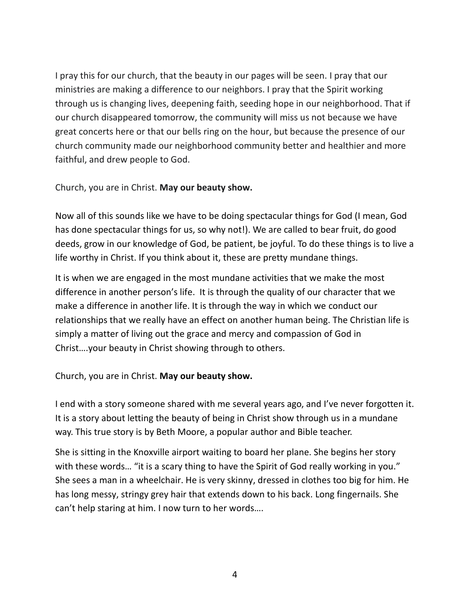I pray this for our church, that the beauty in our pages will be seen. I pray that our ministries are making a difference to our neighbors. I pray that the Spirit working through us is changing lives, deepening faith, seeding hope in our neighborhood. That if our church disappeared tomorrow, the community will miss us not because we have great concerts here or that our bells ring on the hour, but because the presence of our church community made our neighborhood community better and healthier and more faithful, and drew people to God.

Church, you are in Christ. **May our beauty show.**

Now all of this sounds like we have to be doing spectacular things for God (I mean, God has done spectacular things for us, so why not!). We are called to bear fruit, do good deeds, grow in our knowledge of God, be patient, be joyful. To do these things is to live a life worthy in Christ. If you think about it, these are pretty mundane things.

It is when we are engaged in the most mundane activities that we make the most difference in another person's life. It is through the quality of our character that we make a difference in another life. It is through the way in which we conduct our relationships that we really have an effect on another human being. The Christian life is simply a matter of living out the grace and mercy and compassion of God in Christ….your beauty in Christ showing through to others.

Church, you are in Christ. **May our beauty show.** 

I end with a story someone shared with me several years ago, and I've never forgotten it. It is a story about letting the beauty of being in Christ show through us in a mundane way. This true story is by Beth Moore, a popular author and Bible teacher.

She is sitting in the Knoxville airport waiting to board her plane. She begins her story with these words... "it is a scary thing to have the Spirit of God really working in you." She sees a man in a wheelchair. He is very skinny, dressed in clothes too big for him. He has long messy, stringy grey hair that extends down to his back. Long fingernails. She can't help staring at him. I now turn to her words….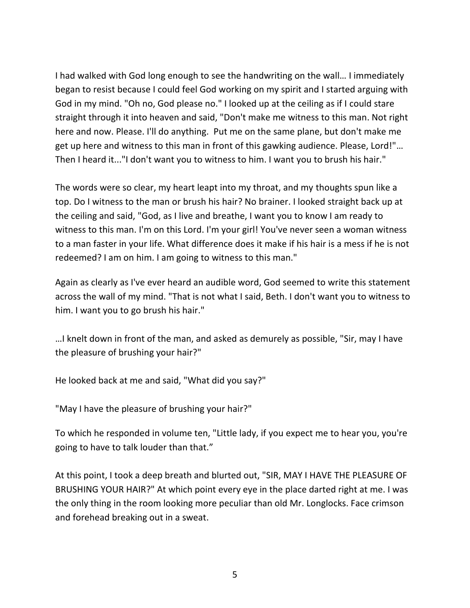I had walked with God long enough to see the handwriting on the wall… I immediately began to resist because I could feel God working on my spirit and I started arguing with God in my mind. "Oh no, God please no." I looked up at the ceiling as if I could stare straight through it into heaven and said, "Don't make me witness to this man. Not right here and now. Please. I'll do anything. Put me on the same plane, but don't make me get up here and witness to this man in front of this gawking audience. Please, Lord!"… Then I heard it..."I don't want you to witness to him. I want you to brush his hair."

The words were so clear, my heart leapt into my throat, and my thoughts spun like a top. Do I witness to the man or brush his hair? No brainer. I looked straight back up at the ceiling and said, "God, as I live and breathe, I want you to know I am ready to witness to this man. I'm on this Lord. I'm your girl! You've never seen a woman witness to a man faster in your life. What difference does it make if his hair is a mess if he is not redeemed? I am on him. I am going to witness to this man."

Again as clearly as I've ever heard an audible word, God seemed to write this statement across the wall of my mind. "That is not what I said, Beth. I don't want you to witness to him. I want you to go brush his hair."

…I knelt down in front of the man, and asked as demurely as possible, "Sir, may I have the pleasure of brushing your hair?"

He looked back at me and said, "What did you say?"

"May I have the pleasure of brushing your hair?"

To which he responded in volume ten, "Little lady, if you expect me to hear you, you're going to have to talk louder than that."

At this point, I took a deep breath and blurted out, "SIR, MAY I HAVE THE PLEASURE OF BRUSHING YOUR HAIR?" At which point every eye in the place darted right at me. I was the only thing in the room looking more peculiar than old Mr. Longlocks. Face crimson and forehead breaking out in a sweat.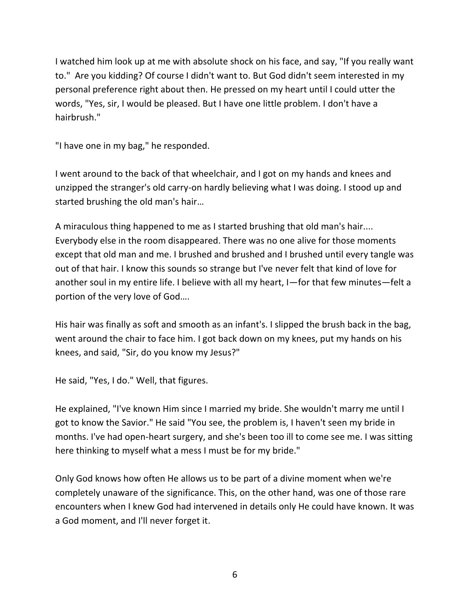I watched him look up at me with absolute shock on his face, and say, "If you really want to." Are you kidding? Of course I didn't want to. But God didn't seem interested in my personal preference right about then. He pressed on my heart until I could utter the words, "Yes, sir, I would be pleased. But I have one little problem. I don't have a hairbrush."

"I have one in my bag," he responded.

I went around to the back of that wheelchair, and I got on my hands and knees and unzipped the stranger's old carry-on hardly believing what I was doing. I stood up and started brushing the old man's hair…

A miraculous thing happened to me as I started brushing that old man's hair.... Everybody else in the room disappeared. There was no one alive for those moments except that old man and me. I brushed and brushed and I brushed until every tangle was out of that hair. I know this sounds so strange but I've never felt that kind of love for another soul in my entire life. I believe with all my heart, I—for that few minutes—felt a portion of the very love of God….

His hair was finally as soft and smooth as an infant's. I slipped the brush back in the bag, went around the chair to face him. I got back down on my knees, put my hands on his knees, and said, "Sir, do you know my Jesus?"

He said, "Yes, I do." Well, that figures.

He explained, "I've known Him since I married my bride. She wouldn't marry me until I got to know the Savior." He said "You see, the problem is, I haven't seen my bride in months. I've had open-heart surgery, and she's been too ill to come see me. I was sitting here thinking to myself what a mess I must be for my bride."

Only God knows how often He allows us to be part of a divine moment when we're completely unaware of the significance. This, on the other hand, was one of those rare encounters when I knew God had intervened in details only He could have known. It was a God moment, and I'll never forget it.